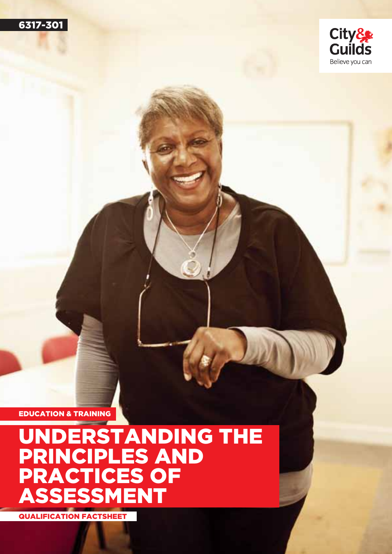



## UNDERSTANDING THE PRINCIPLES AND PRACTICES OF ASSESSMENT

QUALIFICATION FACTSHEET

EDUCATION & TRAINING